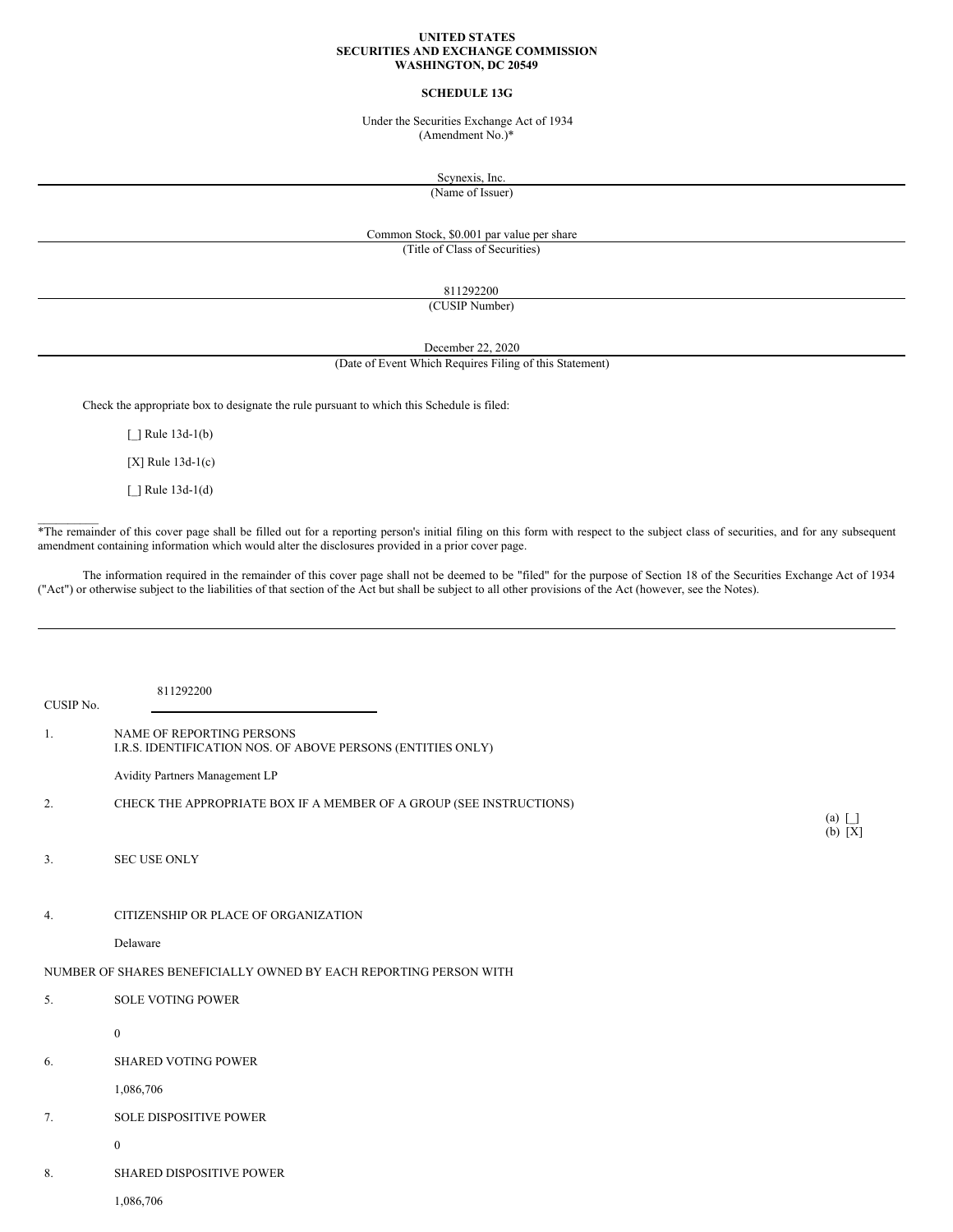#### **UNITED STATES SECURITIES AND EXCHANGE COMMISSION WASHINGTON, DC 20549**

### **SCHEDULE 13G**

Under the Securities Exchange Act of 1934 (Amendment No.)\*

Scynexis, Inc.

(Name of Issuer)

### Common Stock, \$0.001 par value per share (Title of Class of Securities)

811292200

(CUSIP Number)

December 22, 2020

# (Date of Event Which Requires Filing of this Statement)

Check the appropriate box to designate the rule pursuant to which this Schedule is filed:

[ ] Rule 13d-1(b)

[X] Rule 13d-1(c)

[\_] Rule 13d-1(d)

 $\mathcal{L}=\mathcal{L}$ 

\*The remainder of this cover page shall be filled out for a reporting person's initial filing on this form with respect to the subject class of securities, and for any subsequent amendment containing information which would alter the disclosures provided in a prior cover page.

The information required in the remainder of this cover page shall not be deemed to be "filed" for the purpose of Section 18 of the Securities Exchange Act of 1934 ("Act") or otherwise subject to the liabilities of that section of the Act but shall be subject to all other provisions of the Act (however, see the Notes).

| CUSIP No. | 811292200                                                                                |                         |
|-----------|------------------------------------------------------------------------------------------|-------------------------|
| 1.        | NAME OF REPORTING PERSONS<br>I.R.S. IDENTIFICATION NOS. OF ABOVE PERSONS (ENTITIES ONLY) |                         |
|           | Avidity Partners Management LP                                                           |                         |
| 2.        | CHECK THE APPROPRIATE BOX IF A MEMBER OF A GROUP (SEE INSTRUCTIONS)                      | $(a)$ $\Box$<br>(b) [X] |
| 3.        | <b>SEC USE ONLY</b>                                                                      |                         |
| 4.        | CITIZENSHIP OR PLACE OF ORGANIZATION                                                     |                         |
|           | Delaware                                                                                 |                         |
|           | NUMBER OF SHARES BENEFICIALLY OWNED BY EACH REPORTING PERSON WITH                        |                         |
| 5.        | <b>SOLE VOTING POWER</b>                                                                 |                         |
|           | $\boldsymbol{0}$                                                                         |                         |
| 6.        | <b>SHARED VOTING POWER</b>                                                               |                         |
|           | 1,086,706                                                                                |                         |
| 7.        | <b>SOLE DISPOSITIVE POWER</b>                                                            |                         |
|           | $\mathbf{0}$                                                                             |                         |
| 8.        | <b>SHARED DISPOSITIVE POWER</b>                                                          |                         |
|           | 1,086,706                                                                                |                         |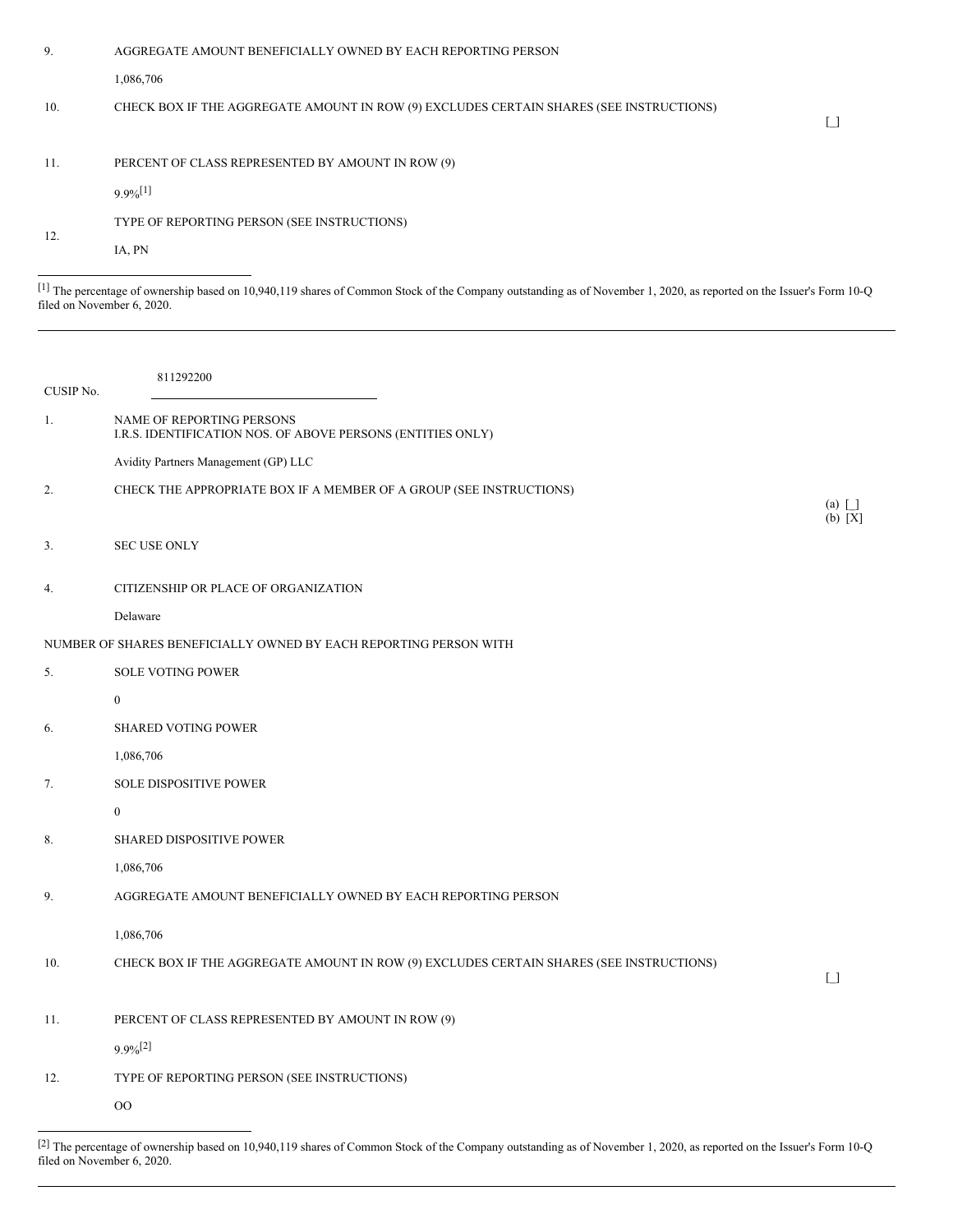| 9.  | AGGREGATE AMOUNT BENEFICIALLY OWNED BY EACH REPORTING PERSON                            |  |
|-----|-----------------------------------------------------------------------------------------|--|
|     | 1,086,706                                                                               |  |
| 10. | CHECK BOX IF THE AGGREGATE AMOUNT IN ROW (9) EXCLUDES CERTAIN SHARES (SEE INSTRUCTIONS) |  |
| 11. | PERCENT OF CLASS REPRESENTED BY AMOUNT IN ROW (9)                                       |  |
|     | $9.9\%$ <sup>[1]</sup>                                                                  |  |
| 12. | TYPE OF REPORTING PERSON (SEE INSTRUCTIONS)                                             |  |
|     | IA, PN                                                                                  |  |
|     |                                                                                         |  |

[1] The percentage of ownership based on 10,940,119 shares of Common Stock of the Company outstanding as of November 1, 2020, as reported on the Issuer's Form 10-Q filed on November 6, 2020.

| CUSIP No. | 811292200                                                                                |                                   |
|-----------|------------------------------------------------------------------------------------------|-----------------------------------|
| 1.        | NAME OF REPORTING PERSONS<br>I.R.S. IDENTIFICATION NOS. OF ABOVE PERSONS (ENTITIES ONLY) |                                   |
|           | Avidity Partners Management (GP) LLC                                                     |                                   |
| 2.        | CHECK THE APPROPRIATE BOX IF A MEMBER OF A GROUP (SEE INSTRUCTIONS)                      | (a) $\Box$<br>(b) [X]             |
| 3.        | <b>SEC USE ONLY</b>                                                                      |                                   |
| 4.        | CITIZENSHIP OR PLACE OF ORGANIZATION                                                     |                                   |
|           | Delaware                                                                                 |                                   |
|           | NUMBER OF SHARES BENEFICIALLY OWNED BY EACH REPORTING PERSON WITH                        |                                   |
| 5.        | <b>SOLE VOTING POWER</b>                                                                 |                                   |
|           | $\mathbf{0}$                                                                             |                                   |
| 6.        | <b>SHARED VOTING POWER</b>                                                               |                                   |
|           | 1,086,706                                                                                |                                   |
| 7.        | <b>SOLE DISPOSITIVE POWER</b>                                                            |                                   |
|           | $\mathbf{0}$                                                                             |                                   |
| 8.        | SHARED DISPOSITIVE POWER                                                                 |                                   |
|           | 1,086,706                                                                                |                                   |
| 9.        | AGGREGATE AMOUNT BENEFICIALLY OWNED BY EACH REPORTING PERSON                             |                                   |
|           | 1,086,706                                                                                |                                   |
| 10.       | CHECK BOX IF THE AGGREGATE AMOUNT IN ROW (9) EXCLUDES CERTAIN SHARES (SEE INSTRUCTIONS)  | $\begin{bmatrix} 1 \end{bmatrix}$ |
|           |                                                                                          |                                   |
| 11.       | PERCENT OF CLASS REPRESENTED BY AMOUNT IN ROW (9)                                        |                                   |
|           | $9.9\%$ <sup>[2]</sup>                                                                   |                                   |
| 12.       | TYPE OF REPORTING PERSON (SEE INSTRUCTIONS)                                              |                                   |
|           | OO                                                                                       |                                   |
|           |                                                                                          |                                   |

 $[2]$  The percentage of ownership based on 10,940,119 shares of Common Stock of the Company outstanding as of November 1, 2020, as reported on the Issuer's Form 10-Q filed on November 6, 2020.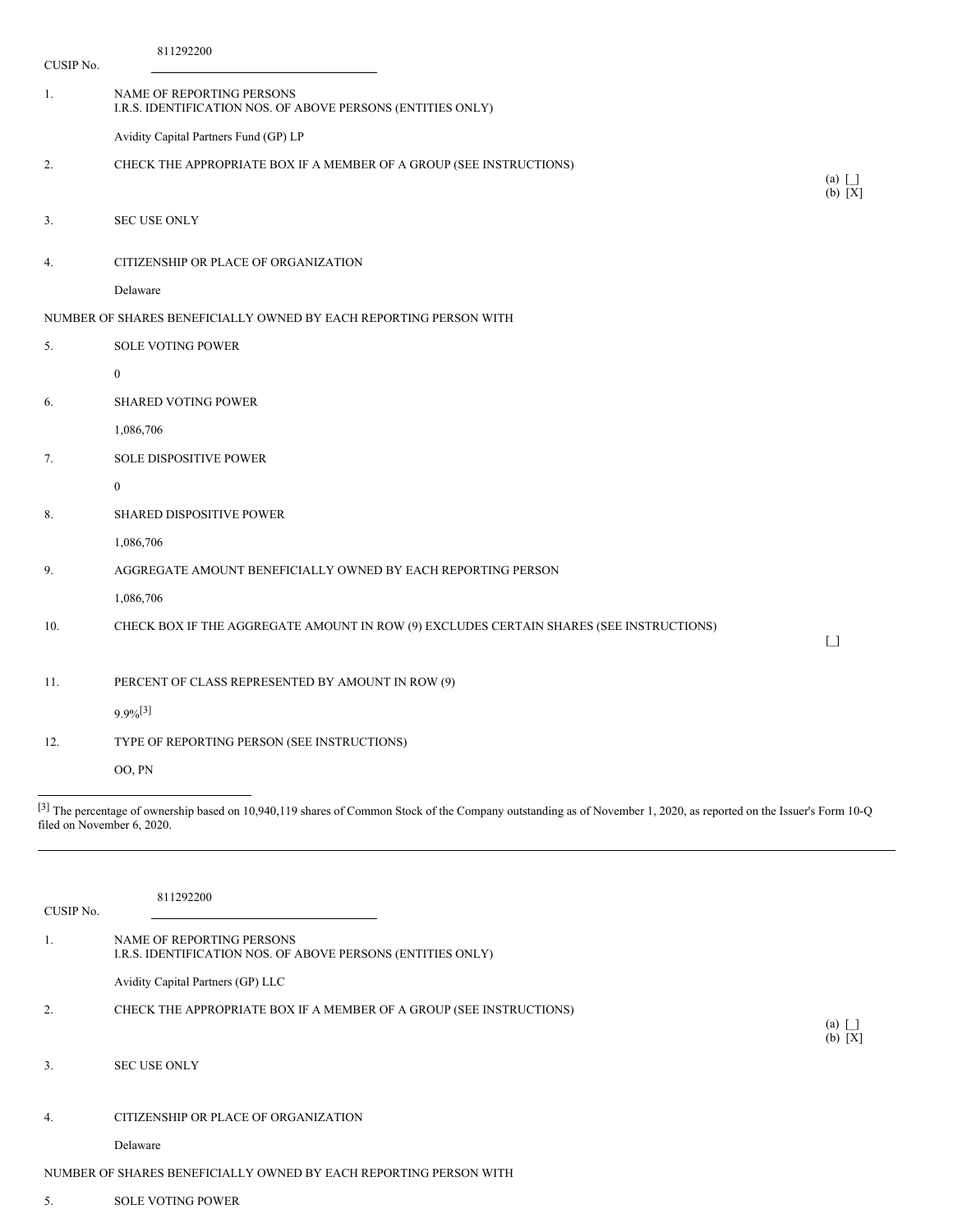| CUSIP No.                  | 811292200                                                                                                                                                           |                                        |
|----------------------------|---------------------------------------------------------------------------------------------------------------------------------------------------------------------|----------------------------------------|
| 1.                         | NAME OF REPORTING PERSONS<br>I.R.S. IDENTIFICATION NOS. OF ABOVE PERSONS (ENTITIES ONLY)                                                                            |                                        |
|                            | Avidity Capital Partners Fund (GP) LP                                                                                                                               |                                        |
| 2.                         | CHECK THE APPROPRIATE BOX IF A MEMBER OF A GROUP (SEE INSTRUCTIONS)                                                                                                 |                                        |
|                            |                                                                                                                                                                     | (a) $\Box$<br>(b) [X]                  |
| 3.                         | <b>SEC USE ONLY</b>                                                                                                                                                 |                                        |
| 4.                         | CITIZENSHIP OR PLACE OF ORGANIZATION                                                                                                                                |                                        |
|                            | Delaware                                                                                                                                                            |                                        |
|                            | NUMBER OF SHARES BENEFICIALLY OWNED BY EACH REPORTING PERSON WITH                                                                                                   |                                        |
| 5.                         | <b>SOLE VOTING POWER</b>                                                                                                                                            |                                        |
|                            | $\boldsymbol{0}$                                                                                                                                                    |                                        |
| 6.                         | <b>SHARED VOTING POWER</b>                                                                                                                                          |                                        |
|                            | 1,086,706                                                                                                                                                           |                                        |
| 7.                         | <b>SOLE DISPOSITIVE POWER</b>                                                                                                                                       |                                        |
|                            | $\boldsymbol{0}$                                                                                                                                                    |                                        |
| 8.                         | <b>SHARED DISPOSITIVE POWER</b>                                                                                                                                     |                                        |
|                            | 1,086,706                                                                                                                                                           |                                        |
| 9.                         | AGGREGATE AMOUNT BENEFICIALLY OWNED BY EACH REPORTING PERSON                                                                                                        |                                        |
|                            | 1,086,706                                                                                                                                                           |                                        |
| 10.                        | CHECK BOX IF THE AGGREGATE AMOUNT IN ROW (9) EXCLUDES CERTAIN SHARES (SEE INSTRUCTIONS)                                                                             | $\begin{array}{c} \square \end{array}$ |
| 11.                        |                                                                                                                                                                     |                                        |
|                            | PERCENT OF CLASS REPRESENTED BY AMOUNT IN ROW (9)                                                                                                                   |                                        |
|                            | $9.9\%$ <sup>[3]</sup>                                                                                                                                              |                                        |
| 12.                        | TYPE OF REPORTING PERSON (SEE INSTRUCTIONS)                                                                                                                         |                                        |
|                            | OO, PN                                                                                                                                                              |                                        |
| filed on November 6, 2020. | [3] The percentage of ownership based on 10,940,119 shares of Common Stock of the Company outstanding as of November 1, 2020, as reported on the Issuer's Form 10-Q |                                        |

| CUSIP No.                                                         | 811292200                                                                                |                           |  |
|-------------------------------------------------------------------|------------------------------------------------------------------------------------------|---------------------------|--|
| 1.                                                                | NAME OF REPORTING PERSONS<br>I.R.S. IDENTIFICATION NOS. OF ABOVE PERSONS (ENTITIES ONLY) |                           |  |
|                                                                   | Avidity Capital Partners (GP) LLC                                                        |                           |  |
| 2.                                                                | CHECK THE APPROPRIATE BOX IF A MEMBER OF A GROUP (SEE INSTRUCTIONS)                      |                           |  |
|                                                                   |                                                                                          | $(a)$ $\Box$<br>$(b) [X]$ |  |
| 3.                                                                | <b>SEC USE ONLY</b>                                                                      |                           |  |
|                                                                   |                                                                                          |                           |  |
| 4.                                                                | CITIZENSHIP OR PLACE OF ORGANIZATION                                                     |                           |  |
|                                                                   | Delaware                                                                                 |                           |  |
| NUMBER OF SHARES BENEFICIALLY OWNED BY EACH REPORTING PERSON WITH |                                                                                          |                           |  |
|                                                                   |                                                                                          |                           |  |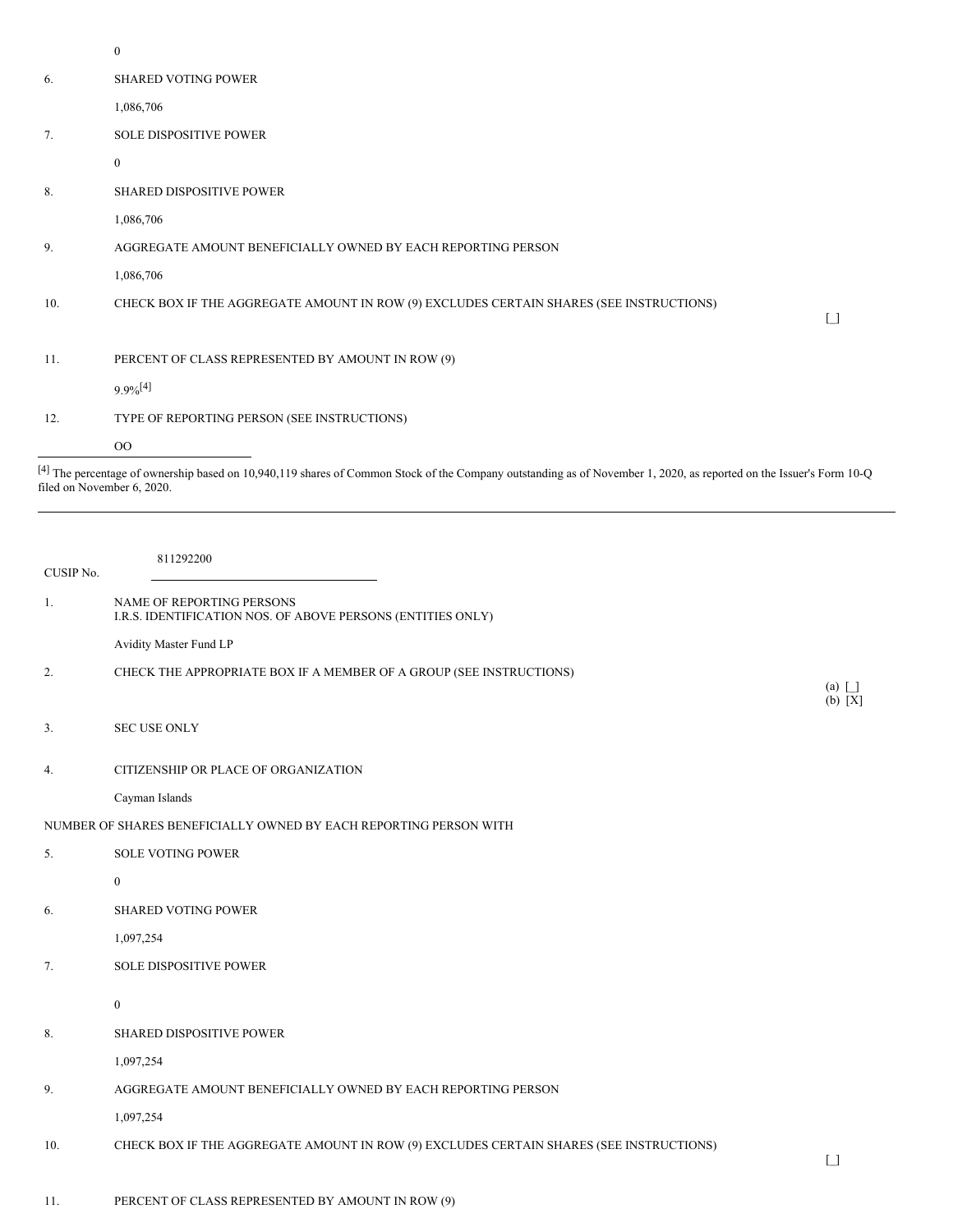|     | $\boldsymbol{0}$                                                                        |                   |
|-----|-----------------------------------------------------------------------------------------|-------------------|
| 6.  | <b>SHARED VOTING POWER</b>                                                              |                   |
|     | 1,086,706                                                                               |                   |
| 7.  | <b>SOLE DISPOSITIVE POWER</b>                                                           |                   |
|     | $\mathbf{0}$                                                                            |                   |
| 8.  | <b>SHARED DISPOSITIVE POWER</b>                                                         |                   |
|     | 1,086,706                                                                               |                   |
| 9.  | AGGREGATE AMOUNT BENEFICIALLY OWNED BY EACH REPORTING PERSON                            |                   |
|     | 1,086,706                                                                               |                   |
| 10. | CHECK BOX IF THE AGGREGATE AMOUNT IN ROW (9) EXCLUDES CERTAIN SHARES (SEE INSTRUCTIONS) | $\lceil$ $\rceil$ |
|     |                                                                                         |                   |
| 11. | PERCENT OF CLASS REPRESENTED BY AMOUNT IN ROW (9)                                       |                   |
|     | $9.9\%$ <sup>[4]</sup>                                                                  |                   |
| 12. | TYPE OF REPORTING PERSON (SEE INSTRUCTIONS)                                             |                   |
|     | 00                                                                                      |                   |

<sup>[4]</sup> The percentage of ownership based on 10,940,119 shares of Common Stock of the Company outstanding as of November 1, 2020, as reported on the Issuer's Form 10-Q filed on November 6, 2020.

| CUSIP No. | 811292200                                                                                |                                      |
|-----------|------------------------------------------------------------------------------------------|--------------------------------------|
| 1.        | NAME OF REPORTING PERSONS<br>I.R.S. IDENTIFICATION NOS. OF ABOVE PERSONS (ENTITIES ONLY) |                                      |
|           | Avidity Master Fund LP                                                                   |                                      |
| 2.        | CHECK THE APPROPRIATE BOX IF A MEMBER OF A GROUP (SEE INSTRUCTIONS)                      | (a) $\boxed{\phantom{1}}$<br>(b) [X] |
| 3.        | <b>SEC USE ONLY</b>                                                                      |                                      |
| 4.        | CITIZENSHIP OR PLACE OF ORGANIZATION                                                     |                                      |
|           | Cayman Islands                                                                           |                                      |
|           | NUMBER OF SHARES BENEFICIALLY OWNED BY EACH REPORTING PERSON WITH                        |                                      |
| 5.        | <b>SOLE VOTING POWER</b>                                                                 |                                      |
|           | $\mathbf{0}$                                                                             |                                      |
| 6.        | <b>SHARED VOTING POWER</b>                                                               |                                      |
|           | 1,097,254                                                                                |                                      |
| 7.        | SOLE DISPOSITIVE POWER                                                                   |                                      |
|           | $\boldsymbol{0}$                                                                         |                                      |
| 8.        | SHARED DISPOSITIVE POWER                                                                 |                                      |
|           | 1,097,254                                                                                |                                      |
| 9.        | AGGREGATE AMOUNT BENEFICIALLY OWNED BY EACH REPORTING PERSON                             |                                      |
|           | 1,097,254                                                                                |                                      |
| 10.       | CHECK BOX IF THE AGGREGATE AMOUNT IN ROW (9) EXCLUDES CERTAIN SHARES (SEE INSTRUCTIONS)  | $\lceil$ $\rceil$                    |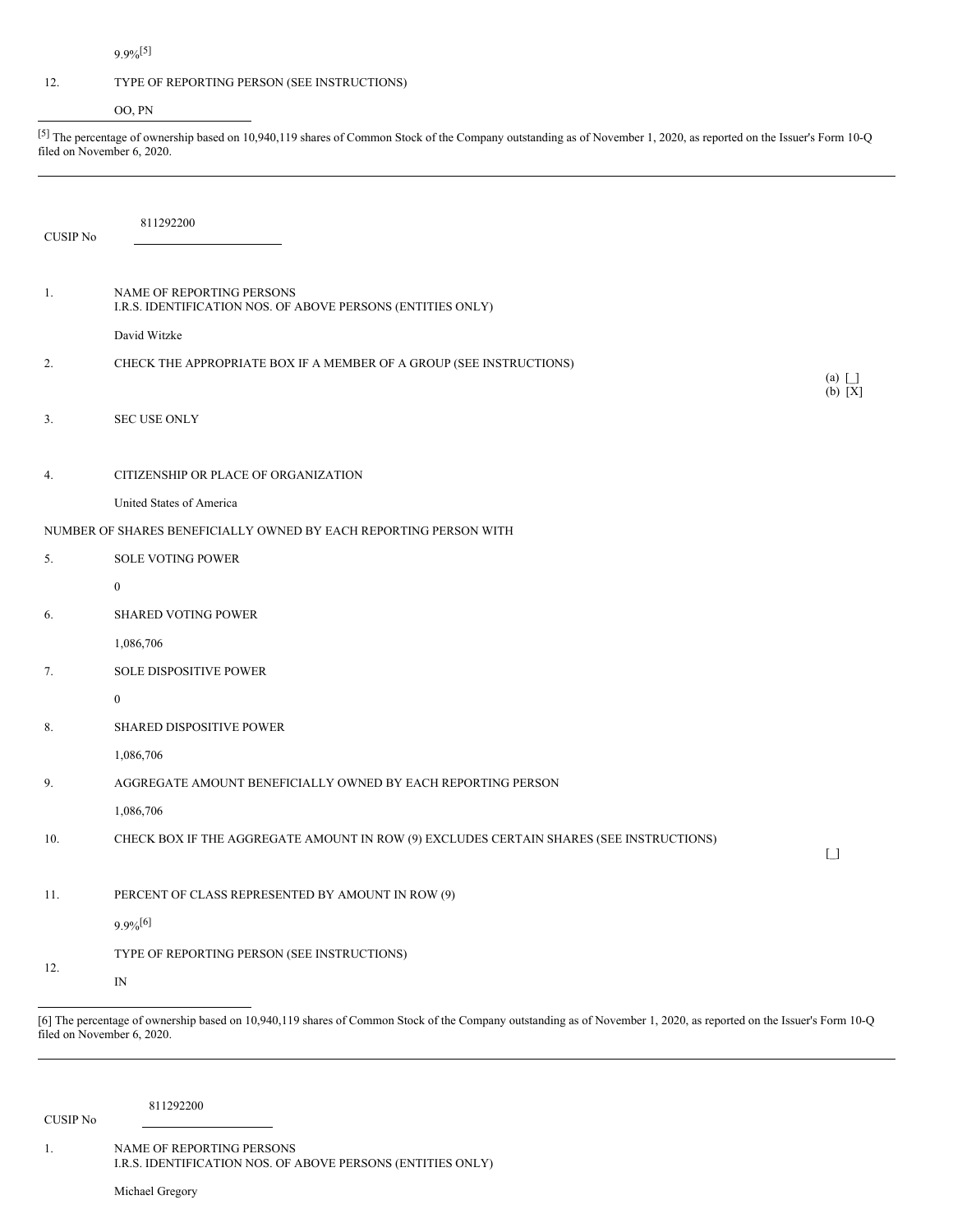# 9.9%[5]

## 12. TYPE OF REPORTING PERSON (SEE INSTRUCTIONS)

OO, PN

<sup>[5]</sup> The percentage of ownership based on 10,940,119 shares of Common Stock of the Company outstanding as of November 1, 2020, as reported on the Issuer's Form 10-Q filed on November 6, 2020.

| NAME OF REPORTING PERSONS<br>1.<br>I.R.S. IDENTIFICATION NOS. OF ABOVE PERSONS (ENTITIES ONLY) |                         |
|------------------------------------------------------------------------------------------------|-------------------------|
| David Witzke                                                                                   |                         |
| CHECK THE APPROPRIATE BOX IF A MEMBER OF A GROUP (SEE INSTRUCTIONS)<br>2.                      | $(a)$ $\Box$<br>(b) [X] |
| <b>SEC USE ONLY</b><br>3.                                                                      |                         |
| CITIZENSHIP OR PLACE OF ORGANIZATION<br>4.                                                     |                         |
| United States of America                                                                       |                         |
| NUMBER OF SHARES BENEFICIALLY OWNED BY EACH REPORTING PERSON WITH                              |                         |
| <b>SOLE VOTING POWER</b><br>5.                                                                 |                         |
| $\boldsymbol{0}$                                                                               |                         |
| <b>SHARED VOTING POWER</b><br>6.                                                               |                         |
| 1,086,706                                                                                      |                         |
| 7.<br><b>SOLE DISPOSITIVE POWER</b>                                                            |                         |
| $\bf{0}$                                                                                       |                         |
| <b>SHARED DISPOSITIVE POWER</b><br>8.                                                          |                         |
| 1,086,706                                                                                      |                         |
| AGGREGATE AMOUNT BENEFICIALLY OWNED BY EACH REPORTING PERSON<br>9.                             |                         |
| 1,086,706                                                                                      |                         |
| CHECK BOX IF THE AGGREGATE AMOUNT IN ROW (9) EXCLUDES CERTAIN SHARES (SEE INSTRUCTIONS)<br>10. | $\lceil \rceil$         |
| PERCENT OF CLASS REPRESENTED BY AMOUNT IN ROW (9)<br>11.                                       |                         |
| $9.9\%$ <sup>[6]</sup>                                                                         |                         |
| TYPE OF REPORTING PERSON (SEE INSTRUCTIONS)<br>12.<br>$\mathbb{N}$                             |                         |

[6] The percentage of ownership based on 10,940,119 shares of Common Stock of the Company outstanding as of November 1, 2020, as reported on the Issuer's Form 10-Q filed on November 6, 2020.

CUSIP No

811292200

1. NAME OF REPORTING PERSONS I.R.S. IDENTIFICATION NOS. OF ABOVE PERSONS (ENTITIES ONLY)

Michael Gregory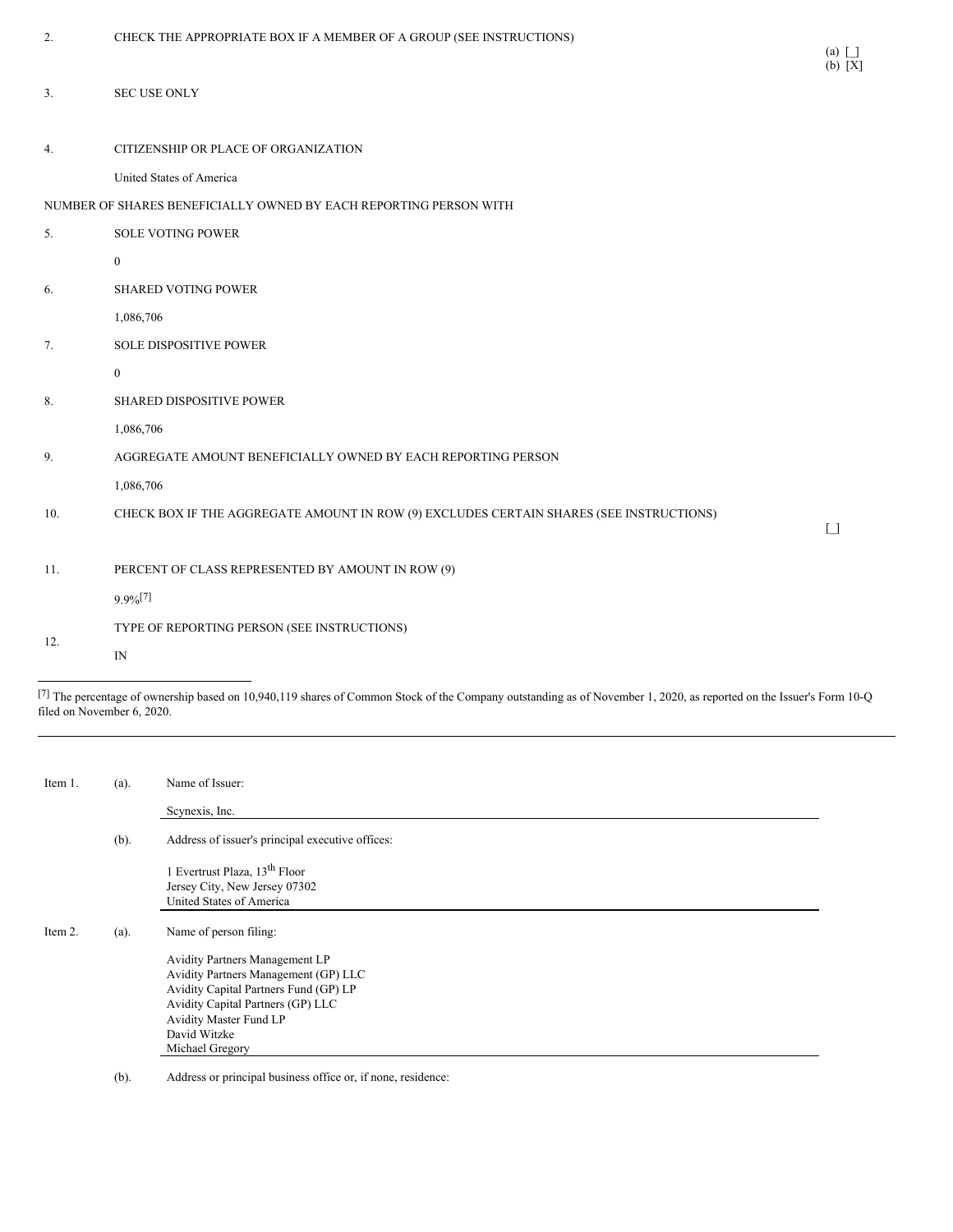| 2.  | CHECK THE APPROPRIATE BOX IF A MEMBER OF A GROUP (SEE INSTRUCTIONS)                     | $(a)$ $\Box$<br>(b) [X] |
|-----|-----------------------------------------------------------------------------------------|-------------------------|
| 3.  | <b>SEC USE ONLY</b>                                                                     |                         |
| 4.  | CITIZENSHIP OR PLACE OF ORGANIZATION                                                    |                         |
|     | United States of America                                                                |                         |
|     | NUMBER OF SHARES BENEFICIALLY OWNED BY EACH REPORTING PERSON WITH                       |                         |
| 5.  | <b>SOLE VOTING POWER</b>                                                                |                         |
|     | $\mathbf{0}$                                                                            |                         |
| 6.  | <b>SHARED VOTING POWER</b>                                                              |                         |
|     | 1,086,706                                                                               |                         |
| 7.  | SOLE DISPOSITIVE POWER                                                                  |                         |
|     | $\mathbf{0}$                                                                            |                         |
| 8.  | SHARED DISPOSITIVE POWER                                                                |                         |
|     | 1,086,706                                                                               |                         |
| 9.  | AGGREGATE AMOUNT BENEFICIALLY OWNED BY EACH REPORTING PERSON                            |                         |
|     | 1,086,706                                                                               |                         |
| 10. | CHECK BOX IF THE AGGREGATE AMOUNT IN ROW (9) EXCLUDES CERTAIN SHARES (SEE INSTRUCTIONS) |                         |
|     |                                                                                         | $\lceil$ $\rceil$       |
| 11. | PERCENT OF CLASS REPRESENTED BY AMOUNT IN ROW (9)                                       |                         |
|     | $9.9\%$ <sup>[7]</sup>                                                                  |                         |
|     | TYPE OF REPORTING PERSON (SEE INSTRUCTIONS)                                             |                         |
| 12. | $_{\rm IN}$                                                                             |                         |

 $^{[7]}$  The percentage of ownership based on 10,940,119 shares of Common Stock of the Company outstanding as of November 1, 2020, as reported on the Issuer's Form 10-Q filed on November 6, 2020.

| Item 1. | (a). | Name of Issuer:                                                                                                                                                                                                   |
|---------|------|-------------------------------------------------------------------------------------------------------------------------------------------------------------------------------------------------------------------|
|         |      | Scynexis, Inc.                                                                                                                                                                                                    |
|         | (b). | Address of issuer's principal executive offices:                                                                                                                                                                  |
|         |      | 1 Evertrust Plaza, 13 <sup>th</sup> Floor<br>Jersey City, New Jersey 07302<br>United States of America                                                                                                            |
| Item 2. | (a). | Name of person filing:                                                                                                                                                                                            |
|         |      | Avidity Partners Management LP<br>Avidity Partners Management (GP) LLC<br>Avidity Capital Partners Fund (GP) LP<br>Avidity Capital Partners (GP) LLC<br>Avidity Master Fund LP<br>David Witzke<br>Michael Gregory |

(b). Address or principal business office or, if none, residence: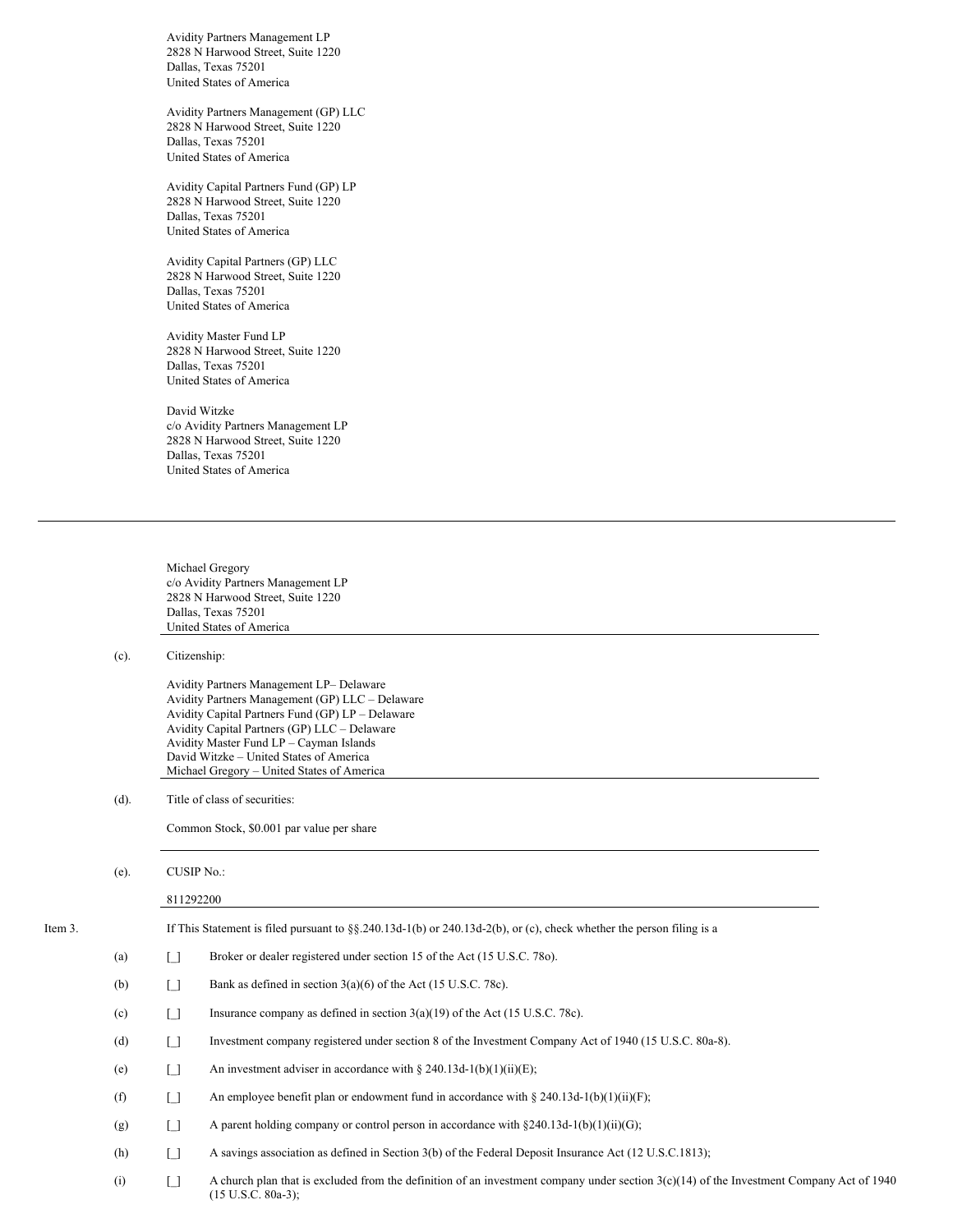Avidity Partners Management LP 2828 N Harwood Street, Suite 1220 Dallas, Texas 75201 United States of America

Avidity Partners Management (GP) LLC 2828 N Harwood Street, Suite 1220 Dallas, Texas 75201 United States of America

Avidity Capital Partners Fund (GP) LP 2828 N Harwood Street, Suite 1220 Dallas, Texas 75201 United States of America

Avidity Capital Partners (GP) LLC 2828 N Harwood Street, Suite 1220 Dallas, Texas 75201 United States of America

Avidity Master Fund LP 2828 N Harwood Street, Suite 1220 Dallas, Texas 75201 United States of America

David Witzke c/o Avidity Partners Management LP 2828 N Harwood Street, Suite 1220 Dallas, Texas 75201 United States of America

Michael Gregory c/o Avidity Partners Management LP 2828 N Harwood Street, Suite 1220 Dallas, Texas 75201 United States of America

(c). Citizenship:

Avidity Partners Management LP– Delaware Avidity Partners Management (GP) LLC – Delaware Avidity Capital Partners Fund (GP) LP – Delaware Avidity Capital Partners (GP) LLC – Delaware Avidity Master Fund LP – Cayman Islands David Witzke – United States of America Michael Gregory – United States of America

(d). Title of class of securities:

Common Stock, \$0.001 par value per share

(e). CUSIP No.:

#### 811292200

| Item 3. |     | If This Statement is filed pursuant to $\S$ , $\S$ , $240.13d-1(b)$ or $240.13d-2(b)$ , or (c), check whether the person filing is a |                                                                                                        |
|---------|-----|--------------------------------------------------------------------------------------------------------------------------------------|--------------------------------------------------------------------------------------------------------|
|         | (a) | IJ                                                                                                                                   | Broker or dealer registered under section 15 of the Act (15 U.S.C. 780).                               |
|         | (b) | Γl                                                                                                                                   | Bank as defined in section $3(a)(6)$ of the Act (15 U.S.C. 78c).                                       |
|         | (c) | $\Box$                                                                                                                               | Insurance company as defined in section $3(a)(19)$ of the Act (15 U.S.C. 78c).                         |
|         | (d) | $\Box$                                                                                                                               | Investment company registered under section 8 of the Investment Company Act of 1940 (15 U.S.C. 80a-8). |
|         | (e) | $\Box$                                                                                                                               | An investment adviser in accordance with $\S 240.13d-1(b)(1)(ii)(E)$ ;                                 |
|         | (f) | $\Box$                                                                                                                               | An employee benefit plan or endowment fund in accordance with $\S 240.13d-1(b)(1)(ii)(F)$ ;            |
|         | (g) | $\Box$                                                                                                                               | A parent holding company or control person in accordance with $\S 240.13d-1(b)(1)(ii)(G)$ ;            |
|         | (h) | $\lceil$ 1                                                                                                                           | A savings association as defined in Section 3(b) of the Federal Deposit Insurance Act (12 U.S.C.1813); |
|         |     |                                                                                                                                      |                                                                                                        |

(i)  $\Box$  A church plan that is excluded from the definition of an investment company under section 3(c)(14) of the Investment Company Act of 1940 (15 U.S.C. 80a-3);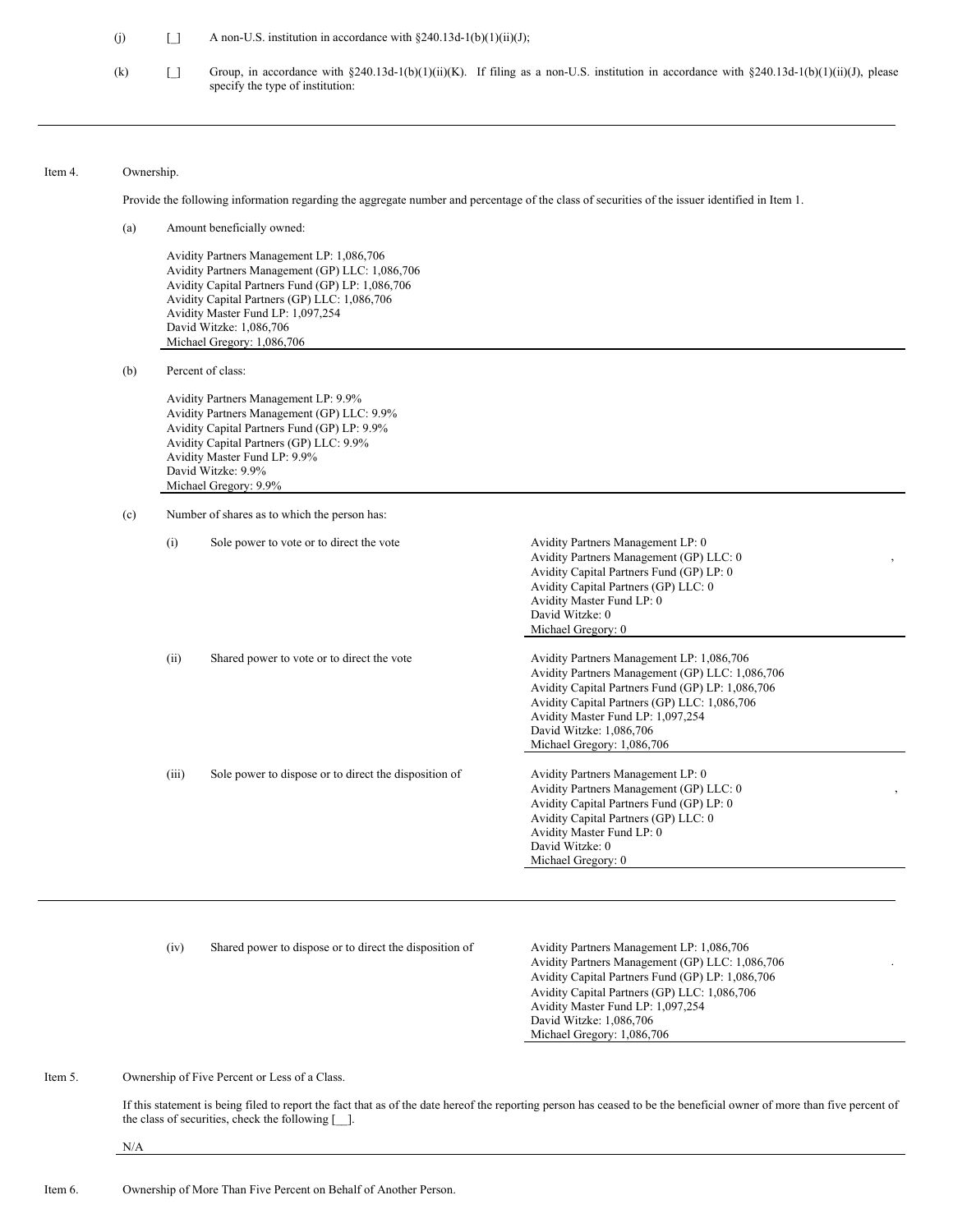(j)  $\Box$  A non-U.S. institution in accordance with §240.13d-1(b)(1)(ii)(J);

(k) [] Group, in accordance with §240.13d-1(b)(1)(ii)(K). If filing as a non-U.S. institution in accordance with §240.13d-1(b)(1)(ii)(J), please specify the type of institution:

#### Item 4. Ownership.

Provide the following information regarding the aggregate number and percentage of the class of securities of the issuer identified in Item 1.

(a) Amount beneficially owned: Avidity Partners Management LP: 1,086,706 Avidity Partners Management (GP) LLC: 1,086,706 Avidity Capital Partners Fund (GP) LP: 1,086,706 Avidity Capital Partners (GP) LLC: 1,086,706 Avidity Master Fund LP: 1,097,254 David Witzke: 1,086,706 Michael Gregory: 1,086,706 (b) Percent of class: Avidity Partners Management LP: 9.9% Avidity Partners Management (GP) LLC: 9.9% Avidity Capital Partners Fund (GP) LP: 9.9% Avidity Capital Partners (GP) LLC: 9.9%

(c) Number of shares as to which the person has:

Avidity Master Fund LP: 9.9% David Witzke: 9.9% Michael Gregory: 9.9%

| (i)   | Sole power to vote or to direct the vote              | Avidity Partners Management LP: 0<br>Avidity Partners Management (GP) LLC: 0<br>Avidity Capital Partners Fund (GP) LP: 0<br>Avidity Capital Partners (GP) LLC: 0<br>Avidity Master Fund LP: 0<br>David Witzke: 0<br>Michael Gregory: 0                                                         |
|-------|-------------------------------------------------------|------------------------------------------------------------------------------------------------------------------------------------------------------------------------------------------------------------------------------------------------------------------------------------------------|
| (ii)  | Shared power to vote or to direct the vote            | Avidity Partners Management LP: 1,086,706<br>Avidity Partners Management (GP) LLC: 1,086,706<br>Avidity Capital Partners Fund (GP) LP: 1,086,706<br>Avidity Capital Partners (GP) LLC: 1,086,706<br>Avidity Master Fund LP: 1,097,254<br>David Witzke: 1,086,706<br>Michael Gregory: 1,086,706 |
| (iii) | Sole power to dispose or to direct the disposition of | Avidity Partners Management LP: 0<br>Avidity Partners Management (GP) LLC: 0<br>$\cdot$<br>Avidity Capital Partners Fund (GP) LP: 0<br>Avidity Capital Partners (GP) LLC: 0<br>Avidity Master Fund LP: 0<br>David Witzke: 0<br>Michael Gregory: 0                                              |
|       |                                                       |                                                                                                                                                                                                                                                                                                |

(iv) Shared power to dispose or to direct the disposition of Avidity Partners Management LP: 1,086,706

Avidity Partners Management (GP) LLC: 1,086,706 Avidity Capital Partners Fund (GP) LP: 1,086,706 Avidity Capital Partners (GP) LLC: 1,086,706 Avidity Master Fund LP: 1,097,254 David Witzke: 1,086,706 Michael Gregory: 1,086,706

.

Item 5. Ownership of Five Percent or Less of a Class.

If this statement is being filed to report the fact that as of the date hereof the reporting person has ceased to be the beneficial owner of more than five percent of the class of securities, check the following [\_\_].

N/A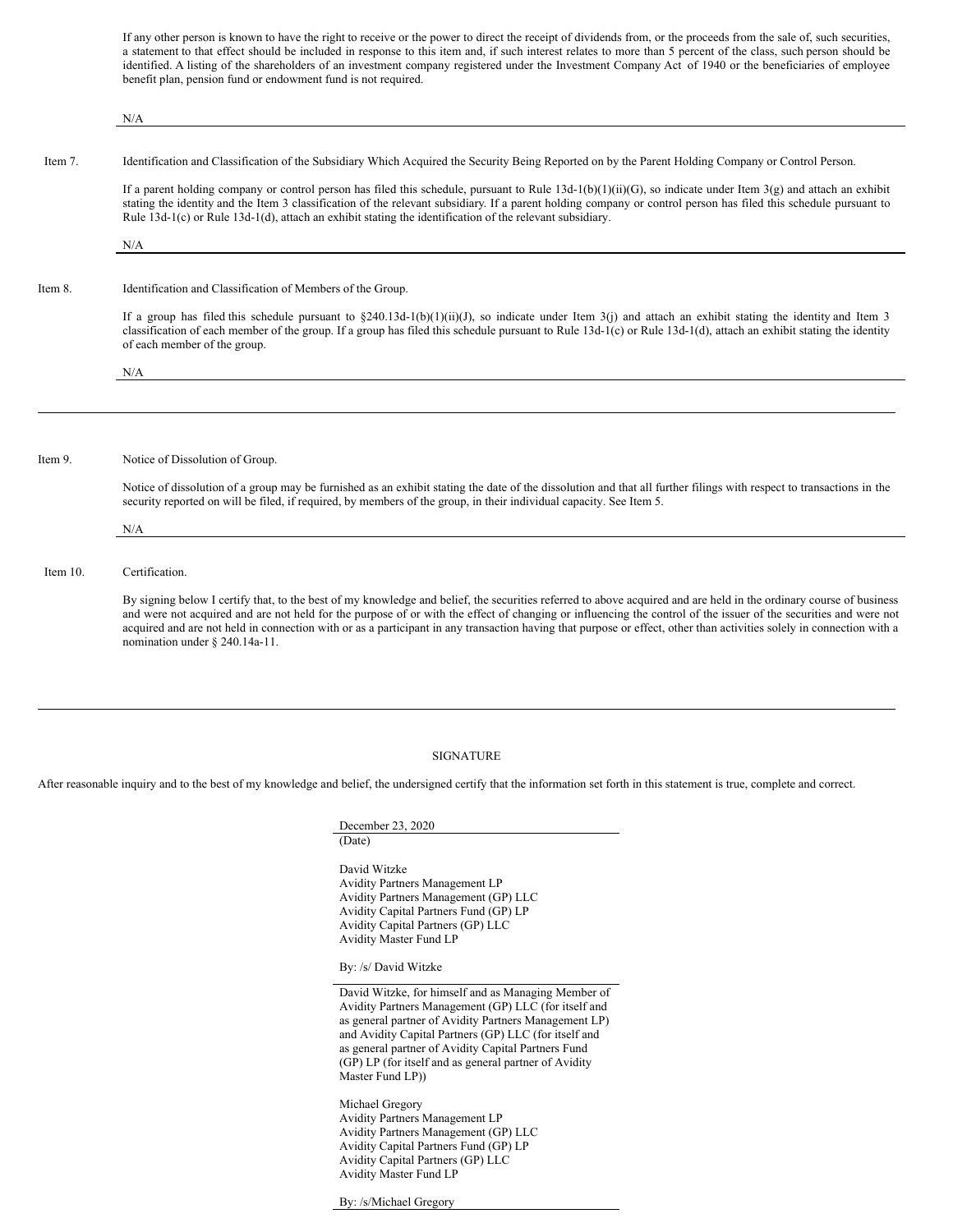If any other person is known to have the right to receive or the power to direct the receipt of dividends from, or the proceeds from the sale of, such securities, a statement to that effect should be included in response to this item and, if such interest relates to more than 5 percent of the class, such person should be identified. A listing of the shareholders of an investment company registered under the Investment Company Act of 1940 or the beneficiaries of employee benefit plan, pension fund or endowment fund is not required.

N/A Item 7. Identification and Classification of the Subsidiary Which Acquired the Security Being Reported on by the Parent Holding Company or Control Person. If a parent holding company or control person has filed this schedule, pursuant to Rule  $13d-1(b)(1)(ii)(G)$ , so indicate under Item 3(g) and attach an exhibit stating the identity and the Item 3 classification of the relevant subsidiary. If a parent holding company or control person has filed this schedule pursuant to Rule 13d-1(c) or Rule 13d-1(d), attach an exhibit stating the identification of the relevant subsidiary. N/A Item 8. Identification and Classification of Members of the Group. If a group has filed this schedule pursuant to  $\S240.13d-1(b)(1)(ii)(J)$ , so indicate under Item 3(j) and attach an exhibit stating the identity and Item 3 classification of each member of the group. If a group has filed this schedule pursuant to Rule 13d-1(c) or Rule 13d-1(d), attach an exhibit stating the identity of each member of the group. N/A Item 9. Notice of Dissolution of Group. Notice of dissolution of a group may be furnished as an exhibit stating the date of the dissolution and that all further filings with respect to transactions in the security reported on will be filed, if required, by members of the group, in their individual capacity. See Item 5. N/A Item 10. Certification. By signing below I certify that, to the best of my knowledge and belief, the securities referred to above acquired and are held in the ordinary course of business and were not acquired and are not held for the purpose of or with the effect of changing or influencing the control of the issuer of the securities and were not acquired and are not held in connection with or as a participant in any transaction having that purpose or effect, other than activities solely in connection with a nomination under § 240.14a-11.

#### SIGNATURE

After reasonable inquiry and to the best of my knowledge and belief, the undersigned certify that the information set forth in this statement is true, complete and correct.

| (Date)                                                |
|-------------------------------------------------------|
| David Witzke                                          |
| <b>Avidity Partners Management LP</b>                 |
| Avidity Partners Management (GP) LLC                  |
| Avidity Capital Partners Fund (GP) LP                 |
| Avidity Capital Partners (GP) LLC                     |
| <b>Avidity Master Fund LP</b>                         |
| By: /s/ David Witzke                                  |
| David Witzke, for himself and as Managing Member of   |
| Avidity Partners Management (GP) LLC (for itself and  |
| as general partner of Avidity Partners Management LP) |
| and Avidity Capital Partners (GP) LLC (for itself and |
| as general partner of Avidity Capital Partners Fund   |
| (GP) LP (for itself and as general partner of Avidity |
| Master Fund LP))                                      |
| Michael Gregory                                       |
| <b>Avidity Partners Management LP</b>                 |
| Avidity Partners Management (GP) LLC                  |
| Avidity Capital Partners Fund (GP) LP                 |
| Avidity Capital Partners (GP) LLC                     |
| <b>Avidity Master Fund LP</b>                         |
|                                                       |